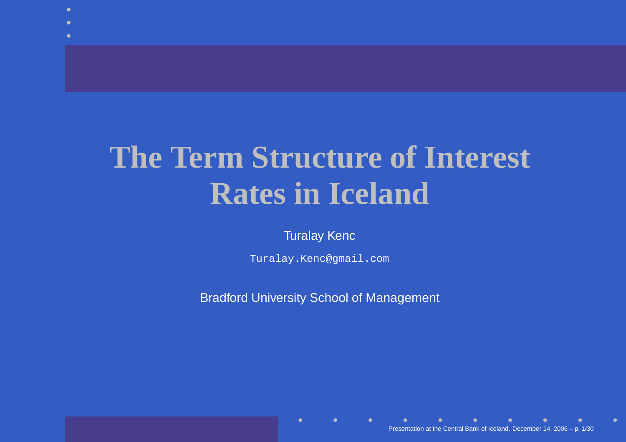## **The Term Structure of InterestRates in Iceland**

Turalay Kenc

Turalay.Kenc@gmail.com

Bradford University School of Management

Presentation at the Central Bank of Iceland. December 14, 2006 – p. 1/30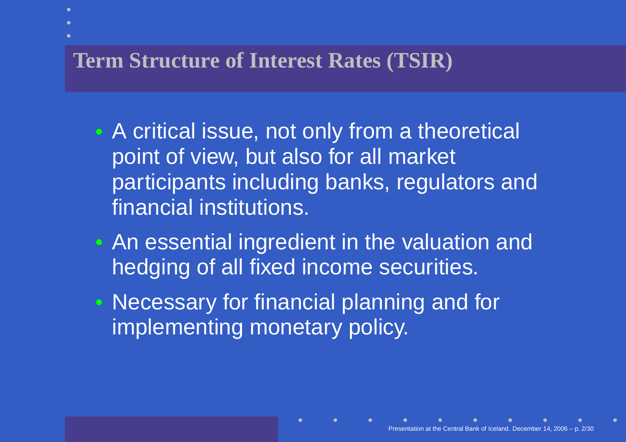#### **Term Structure of Interest Rates (TSIR)**

- $\mathbb C$  A critical issue, not only from <sup>a</sup> theoretical point of view, but also for all market participants including banks, regulators andfinancial institutions.
- $\mathbf C$  An essential ingredient in the valuation andhedging of all fixed income securities.
- $\bullet$  Necessary for financial planning and forimplementing monetary policy.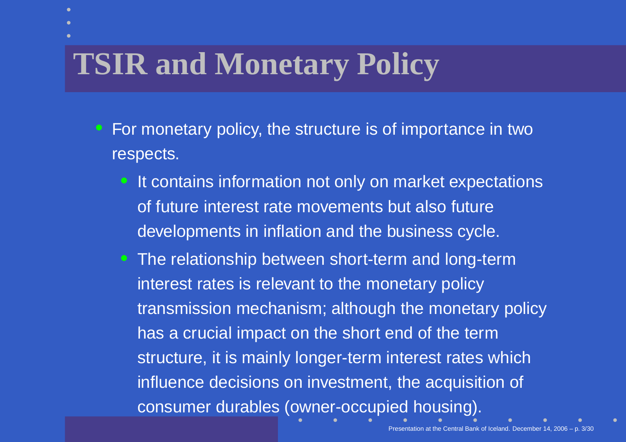# **TSIR and Monetary Policy**

 $\mathbb C$ 

- For monetary policy, the structure is of importance in tworespects.
	- $\bullet$ It contains information not only on market expectations of future interest rate movements but also futuredevelopments in inflation and the business cycle.
	- The relationship between short-term and long-terminterest rates is relevant to the monetary policy transmission mechanism; although the monetary policyhas <sup>a</sup> crucial impact on the short end of the term structure, it is mainly longer-term interest rates whichinfluence decisions on investment, the acquisition of consumer durables (owner-occupied housing).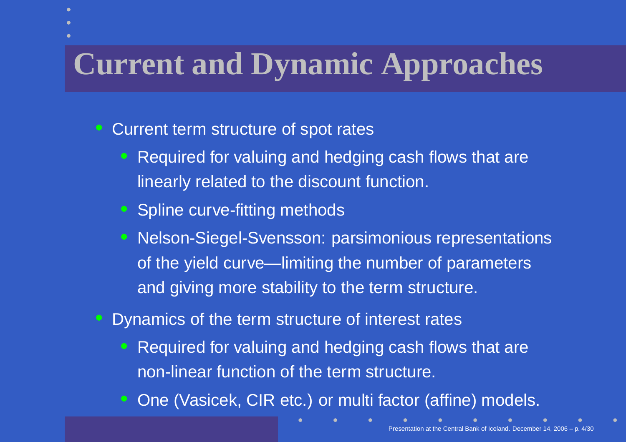## **Current and Dynamic Approaches**

Current term structure of spot rates

 $\mathbb C$ 

- $\mathbf C$  Required for valuing and hedging cash flows that arelinearly related to the discount function.
- Spline curve-fitting methods
- $\bullet$  Nelson-Siegel-Svensson: parsimonious representationsof the yield curve—limiting the number of parametersand giving more stability to the term structure.
- $\bullet$  Dynamics of the term structure of interest rates
	- $\bullet$  Required for valuing and hedging cash flows that arenon-linear function of the term structure.
	- $\mathbf C$ One (Vasicek, CIR etc.) or multi factor (affine) models.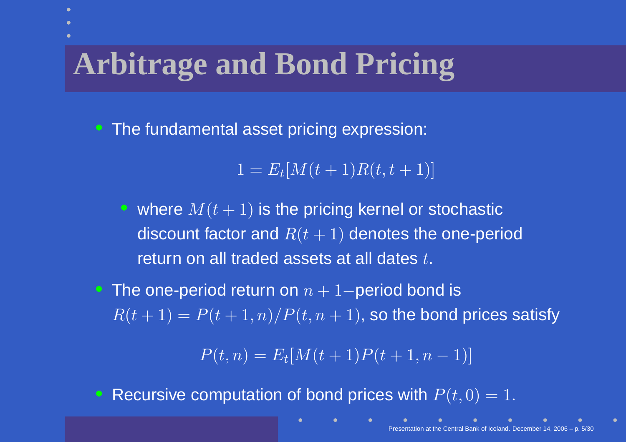# **Arbitrage and Bond Pricing**

• The fundamental asset pricing expression:

 $1=E_t[M(t+1)R(t,t+1)]$ 

• where  $M(t + 1)$  is the pricing kernel or stochastic discount factor and  $R(t + 1)$  denotes the one-period return on all traded assets at all dates  $t.$ 

• The one-period return on  $n+1-$ period bond is  $R(t+1) = P(t+1,n)/P(t,n+1)$ , so the bond prices satisfy

> $P(t,n) = E_t[M(t+1)P(t+1,n)]$  $(-1)]$

Recursive computation of bond prices with  $P(t, 0) = 1$ .

 $\mathbb C$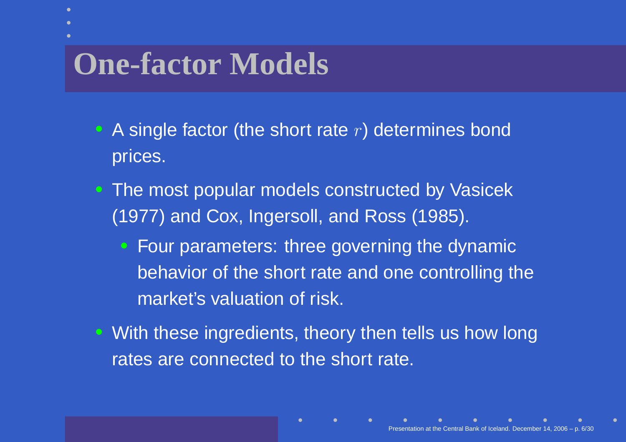### **One-factor Models**

- A single factor (the short rate  $r$ ) determines bond prices.
- The most popular models constructed by Vasicek(1977) and Cox, Ingersoll, and Ross (1985).
	- Four parameters: three governing the dynamicbehavior of the short rate and one controlling themarket's valuation of risk.
- With these ingredients, theory then tells us how longrates are connected to the short rate.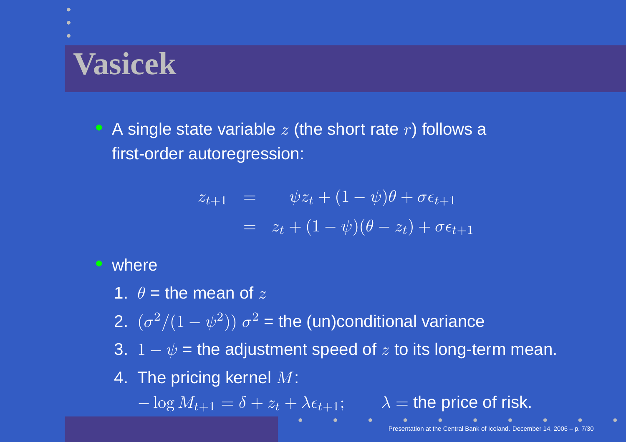## **Vasicek**

• A single state variable  $z$  (the short rate  $r$ ) follows a first-order autoregression:

$$
z_{t+1} = \psi z_t + (1 - \psi)\theta + \sigma \epsilon_{t+1}
$$
  
=  $z_t + (1 - \psi)(\theta - z_t) + \sigma \epsilon_{t+1}$ 

#### • where

- 1.  $\theta$  = the mean of  $z$
- 2.  $(\sigma^2/(1-\psi^2)) \sigma^2$  = the (un)conditional variance
- 3.  $1-\psi$  = the adjustment speed of  $z$  to its long-term mean.
- 4. The pricing kernel  $M$ :

− $\lambda = \log M_{t+1} = \delta + z_t + \lambda \epsilon_{t+1}; \qquad \lambda = \text{the price of risk}.$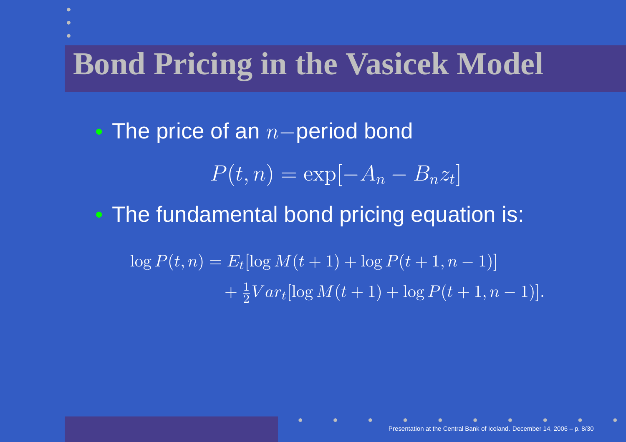## **Bond Pricing in the Vasicek Model**

 $\mathbf C$ • The price of an  $\, n \,$ <sup>−</sup>period bond $P(t,n)=\exp[$  $-A_n-B_nz_t$ —<br>【<br><br>  $\bullet$  The fundamental bond pricing equation is:  $\log P(t,n) = E_t[\log M(t+1) + \log P(t+1,n)]$  $+\frac{1}{2}Va$  $(-1)]$  $\frac{1}{2}Var_t[\log M(t+1)+\log P(t+1,n)]$  $(-1)].$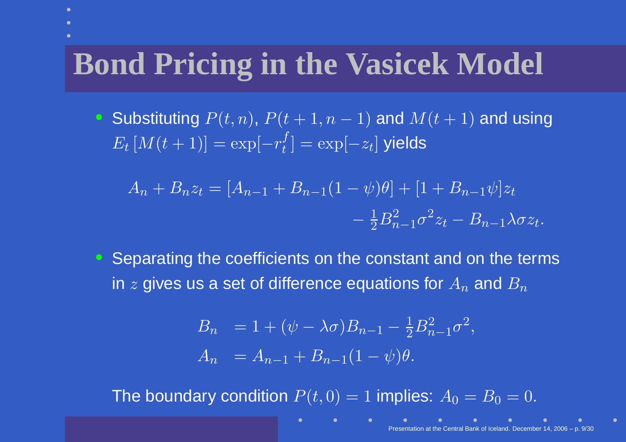## **Bond Pricing in the Vasicek Model**

• Substituting  $P(t,n)$ ,  $P(t+1,n)$ , where the contract of the contract of  $\mathbf{r}$  , we can contract the contract of  $\mathbf{r}$  $(-1)$  and  $M(t + 1)$  and using  $E_t\left[M(t+1)\right]=\exp[$  $-r_t^f] = \exp[-t^f]$  $-z_t]\,$  yields ]

$$
A_n + B_n z_t = [A_{n-1} + B_{n-1}(1 - \psi)\theta] + [1 + B_{n-1}\psi]z_t - \frac{1}{2}B_{n-1}^2\sigma^2 z_t - B_{n-1}\lambda\sigma z_t.
$$

• Separating the coefficients on the constant and on the termsin  $z$  gives us a set of difference equations for  $A_n$  $_n$  and  $B_n$ 

$$
B_n = 1 + (\psi - \lambda \sigma) B_{n-1} - \frac{1}{2} B_{n-1}^2 \sigma^2,
$$
  
\n
$$
A_n = A_{n-1} + B_{n-1} (1 - \psi) \theta.
$$

The boundary condition  $P(t, 0) = 1$  implies:  $A_0 = B_0 = 0$ .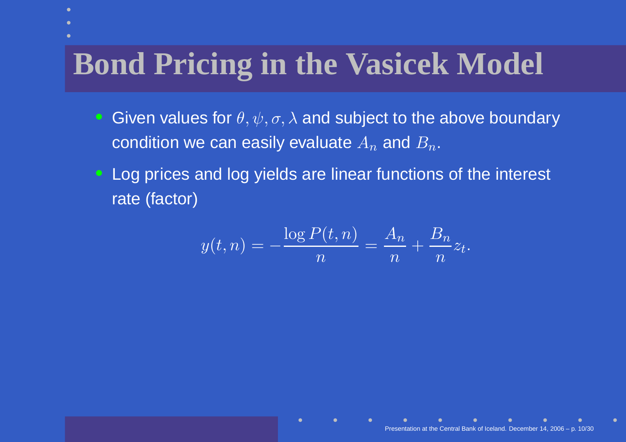## **Bond Pricing in the Vasicek Model**

- $\mathbf C$  $\bullet\,$  Given values for  $\theta,\psi,\sigma,\lambda$  and subject to the above boundary condition we can easily evaluate  $A_n$  $_n$  and  $B_n$ .
- Log prices and log yields are linear functions of the interestrate (factor)

$$
y(t,n) = -\frac{\log P(t,n)}{n} = \frac{A_n}{n} + \frac{B_n}{n}z_t.
$$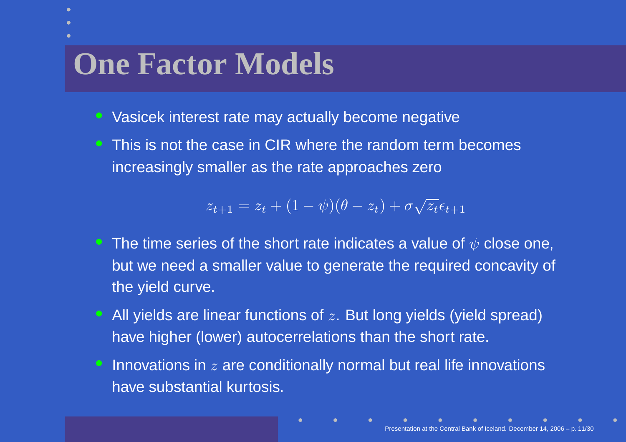#### **One Factor Models**

- Vasicek interest rate may actually become negative
- This is not the case in CIR where the random term becomes increasingly smaller as the rate approaches zero

$$
z_{t+1} = z_t + (1 - \psi)(\theta - z_t) + \sigma \sqrt{z_t} \epsilon_{t+1}
$$

- $\bullet\;$  The time series of the short rate indicates a value of  $\psi$  close one, but we need <sup>a</sup> smaller value to generate the required concavity of the yield curve.
- All yields are linear functions of  $z$ . But long yields (yield spread) have higher (lower) autocerrelations than the short rate.
- Innovations in  $z$  are conditionally normal but real life innovations have substantial kurtosis.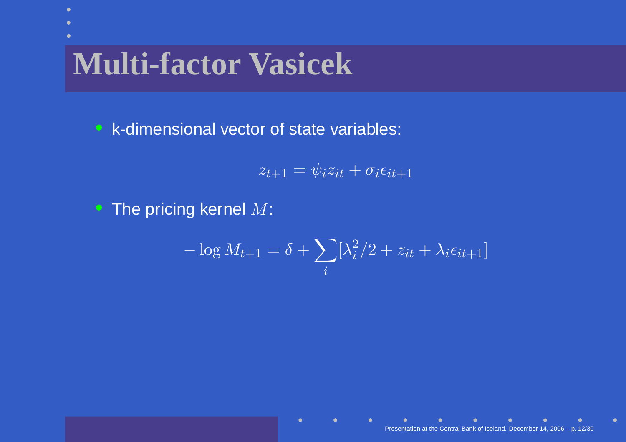## **Multi-factor Vasicek**

• k-dimensional vector of state variables:

 $z_{t+1}=\psi_iz_{it}+\sigma_i\epsilon_{it+1}$ 

 $\bullet~$  The pricing kernel  $M$ :

$$
-\log M_{t+1} = \delta + \sum_{i} [\lambda_i^2/2 + z_{it} + \lambda_i \epsilon_{it+1}]
$$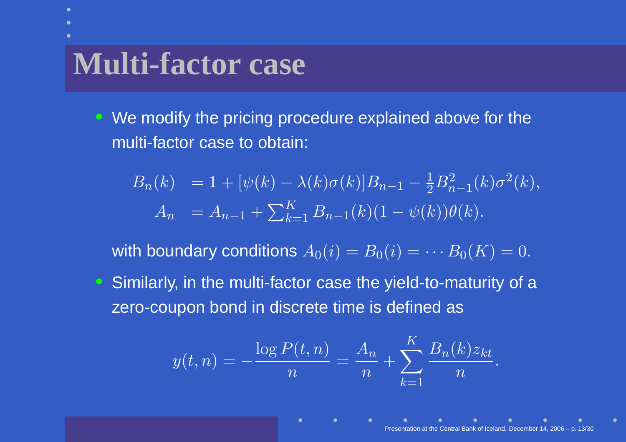#### **Multi-factor case**

• We modify the pricing procedure explained above for themulti-factor case to obtain:

$$
B_n(k) = 1 + [\psi(k) - \lambda(k)\sigma(k)]B_{n-1} - \frac{1}{2}B_{n-1}^2(k)\sigma^2(k),
$$
  
\n
$$
A_n = A_{n-1} + \sum_{k=1}^K B_{n-1}(k)(1 - \psi(k))\theta(k).
$$

with boundary conditions  $A_0(i) = B_0(i) = \frac{1}{2}$  $\mathcal{F}$   $\mathcal{F}$  $B_0(K)=0.$ • Similarly, in the multi-factor case the yield-to-maturity of a zero-coupon bond in discrete time is defined as

$$
y(t, n) = -\frac{\log P(t, n)}{n} = \frac{A_n}{n} + \sum_{k=1}^{K} \frac{B_n(k)z_{kt}}{n}.
$$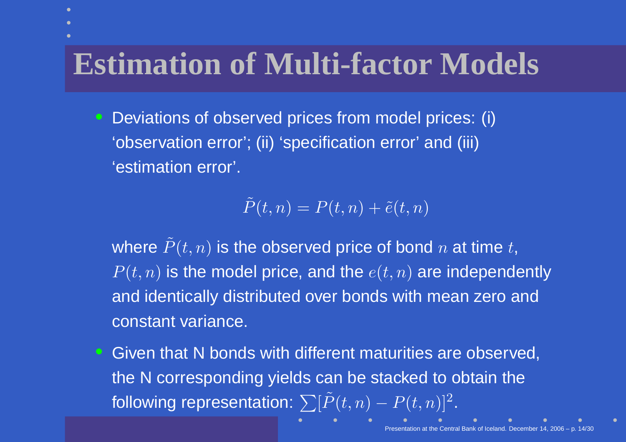## **Estimation of Multi-factor Models**

 $\mathbf C$  Deviations of observed prices from model prices: (i)'observation error'; (ii) 'specification error' and (iii)'estimation error'.

$$
\tilde{P}(t,n)=P(t,n)+\tilde{e}(t,n)
$$

where  $\tilde{P}(t,n)$  is the observed price of bond  $n$  at time  $t,$  $P(t,n)$  is the model price, and the  $e(t,n)$  are independently and identically distributed over bonds with mean zero andconstant variance.

 $\bullet$  Given that N bonds with different maturities are observed, the N corresponding yields can be stacked to obtain thefollowing representation:  $\sum [\tilde{P}(t,n)]$  $-\,P(t,n)]^2$ .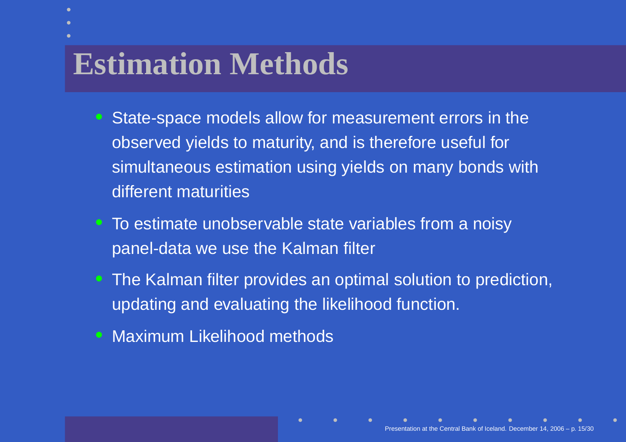## **Estimation Methods**

- $\mathbf C$  State-space models allow for measurement errors in theobserved yields to maturity, and is therefore useful forsimultaneous estimation using yields on many bonds withdifferent maturities
- To estimate unobservable state variables from <sup>a</sup> noisypanel-data we use the Kalman filter
- The Kalman filter provides an optimal solution to prediction, updating and evaluating the likelihood function.
- Maximum Likelihood methods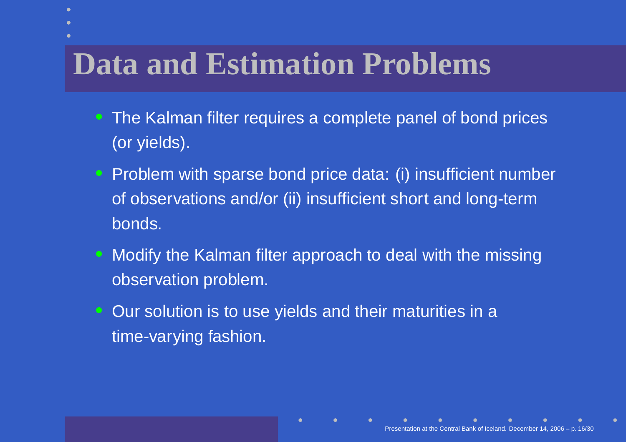### **Data and Estimation Problems**

- The Kalman filter requires <sup>a</sup> complete panel of bond prices(or yields).
- Problem with sparse bond price data: (i) insufficient numberof observations and/or (ii) insufficient short and long-termbonds.
- Modify the Kalman filter approach to deal with the missingobservation problem.
- $\mathbf C$  Our solution is to use yields and their maturities in <sup>a</sup>time-varying fashion.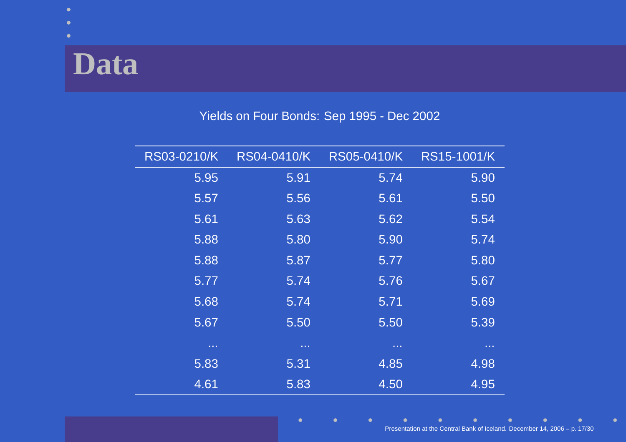### **Data**

#### Yields on Four Bonds: Sep 1995 - Dec 2002

| RS03-0210/K  | RS04-0410/K  | RS05-0410/K  | RS15-1001/K  |
|--------------|--------------|--------------|--------------|
| 5.95         | 5.91         | 5.74         | 5.90         |
| 5.57         | 5.56         | 5.61         | 5.50         |
| 5.61         | 5.63         | 5.62         | 5.54         |
| 5.88         | 5.80         | 5.90         | 5.74         |
| 5.88         | 5.87         | 5.77         | 5.80         |
| 5.77         | 5.74         | 5.76         | 5.67         |
| 5.68         | 5.74         | 5.71         | 5.69         |
| 5.67         | 5.50         | 5.50         | 5.39         |
| <b>A 4 6</b> | <b>A 4 H</b> | <b>ALC N</b> | <b>A 4 6</b> |
| 5.83         | 5.31         | 4.85         | 4.98         |
| 4.61         | 5.83         | 4.50         | 4.95         |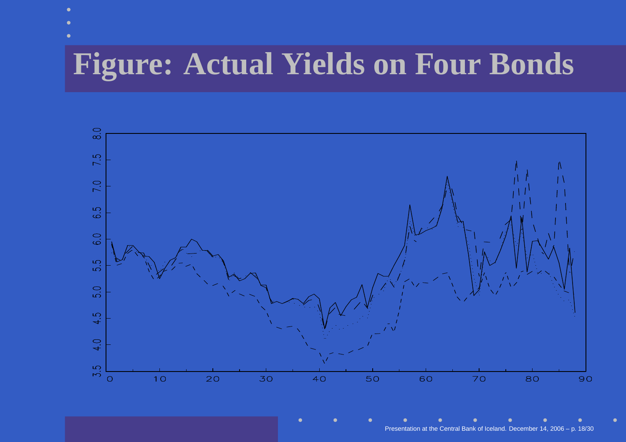## **Figure: Actual Yields on Four Bonds**

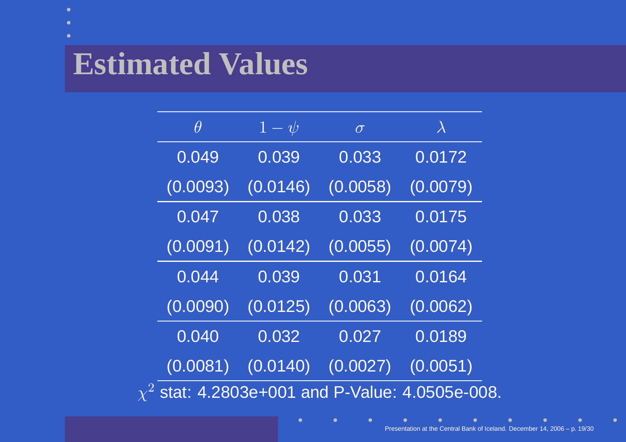## **Estimated Values**

| $\theta$ | $1-\psi$ | $\sigma$ | $\lambda$                                   |
|----------|----------|----------|---------------------------------------------|
| 0.049    | 0.039    | 0.033    | 0.0172                                      |
| (0.0093) | (0.0146) | (0.0058) | (0.0079)                                    |
| 0.047    | 0.038    | 0.033    | 0.0175                                      |
| (0.0091) | (0.0142) | (0.0055) | (0.0074)                                    |
| 0.044    | 0.039    | 0.031    | 0.0164                                      |
| (0.0090) | (0.0125) | (0.0063) | (0.0062)                                    |
| 0.040    | 0.032    | 0.027    | 0.0189                                      |
| (0.0081) | (0.0140) | (0.0027) | (0.0051)                                    |
|          |          |          | stat: 4.2803e+001 and P-Value: 4.0505e-008. |

 $\bullet$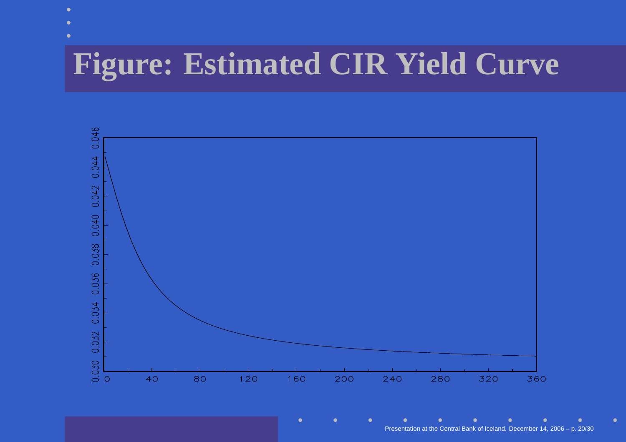## **Figure: Estimated CIR Yield Curve**



Presentation at the Central Bank of Iceland. December 14, 2006 – p. 20/30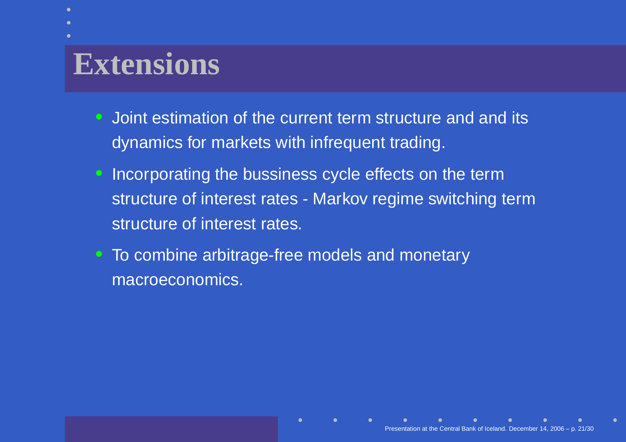### **Extensions**

- $\mathbf C$  Joint estimation of the current term structure and and itsdynamics for markets with infrequent trading.
- Incorporating the bussiness cycle effects on the term structure of interest rates - Markov regime switching termstructure of interest rates.
- To combine arbitrage-free models and monetarymacroeconomics.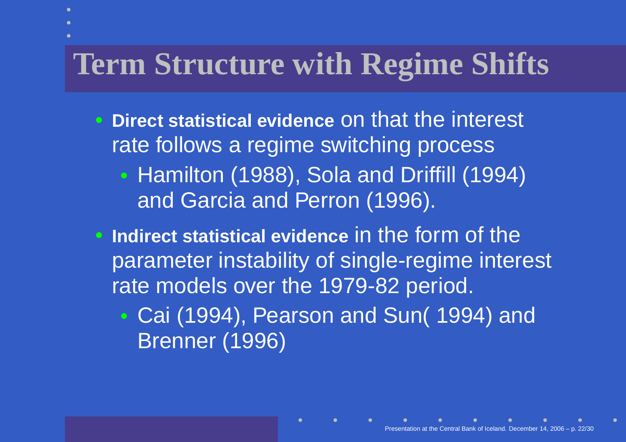## **Term Structure with Regime Shifts**

- **Direct statistical evidence** on that the interest rate follows <sup>a</sup> regime switching process $\bullet$  Hamilton (1988), Sola and Driffill (1994)and Garcia and Perron (1996).
- **Indirect statistical evidence** in the form of the parameter instability of single-regime interest rate models over the 1979-82 period.
	- $\bullet$  Cai (1994), Pearson and Sun( 1994) andBrenner (1996)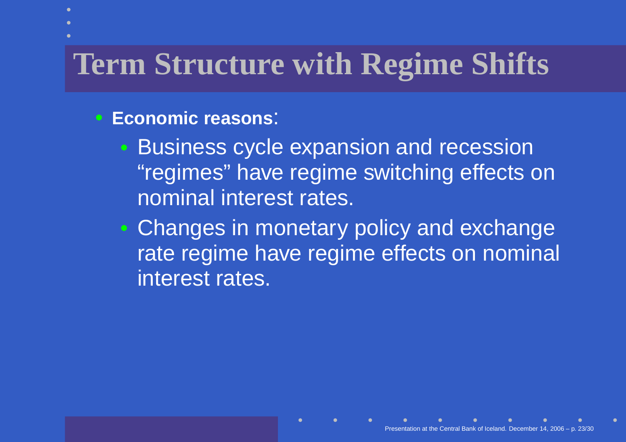## **Term Structure with Regime Shifts**

#### • **Economic reasons**:

- $\mathbb C$  Business cycle expansion and recession "regimes" have regime switching effects onnominal interest rates.
- $\bullet$  Changes in monetary policy and exchange rate regime have regime effects on nominal interest rates.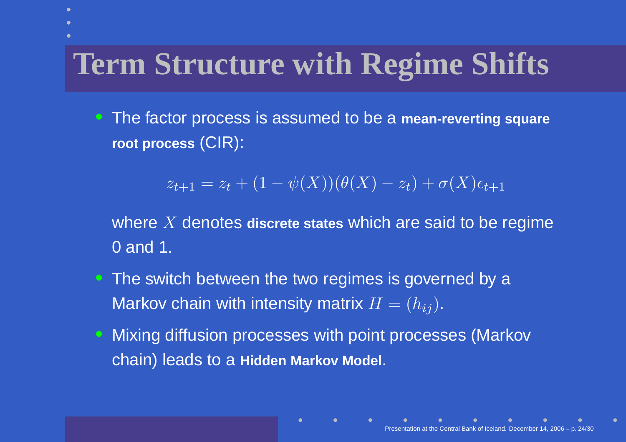## **Term Structure with Regime Shifts**

• The factor process is assumed to be <sup>a</sup> **mean-reverting square root process** (CIR):

$$
z_{t+1} = z_t + (1 - \psi(X))(\theta(X) - z_t) + \sigma(X)\epsilon_{t+1}
$$

where  $X$  denotes discrete states which are said to be regime 0 and 1.

- The switch between the two regimes is governed by a Markov chain with intensity matrix  $H=(h_{ij}).$
- $\bullet$  Mixing diffusion processes with point processes (Markovchain) leads to <sup>a</sup> **Hidden Markov Model**.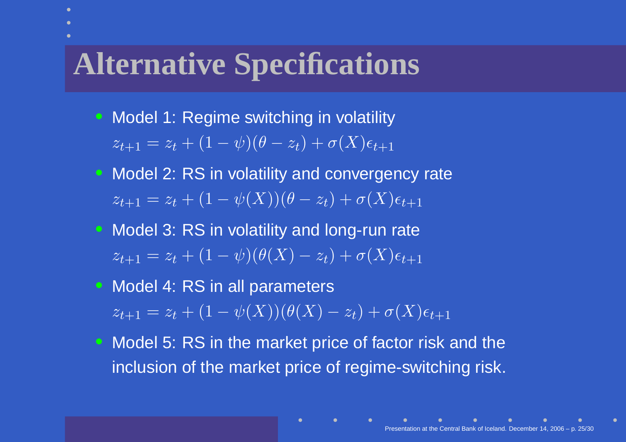#### **Alternative Specifications**

- Model 1: Regime switching in volatility
	- $z_{t+1}=z_t + (1$ − $\psi)(\theta-z_t)+\sigma(X)\epsilon_{t+1}$
- Model 2: RS in volatility and convergency rate  $z_{t+1}=z_t + (1$ − $\psi(X))(\theta-z_t)+\sigma(X)\epsilon_{t+1}$
- Model 3: RS in volatility and long-run rate  $z_{t+1}=z_t + (1$ − $\psi)(\theta(X)$  $-z_t)+\sigma(X)\epsilon_{t+1}$
- Model 4: RS in all parameters  $z_{t+1}=z_t + (1$ − $\psi(X))(\theta(X)$  $-z_t)+\sigma(X)\epsilon_{t+1}$
- Model 5: RS in the market price of factor risk and the inclusion of the market price of regime-switching risk.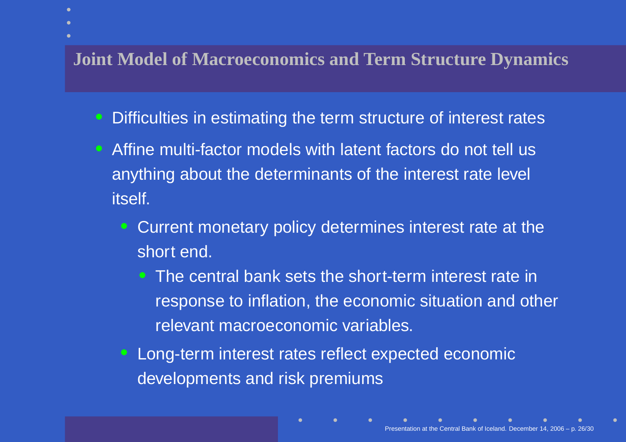#### **Joint Model of Macroeconomics and Term Structure Dynamics**

- $\mathbf C$ Difficulties in estimating the term structure of interest rates
- Affine multi-factor models with latent factors do not tell usanything about the determinants of the interest rate level itself.
	- $\mathbf C$  Current monetary policy determines interest rate at theshort end.
		- • The central bank sets the short-term interest rate inresponse to inflation, the economic situation and otherrelevant macroeconomic variables.
	- $\mathbf C$  Long-term interest rates reflect expected economicdevelopments and risk premiums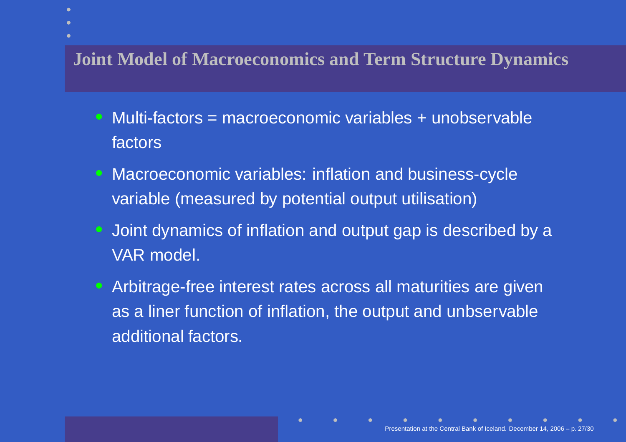#### **Joint Model of Macroeconomics and Term Structure Dynamics**

- $\mathbf C$  Multi-factors <sup>=</sup> macroeconomic variables <sup>+</sup> unobservablefactors
- Macroeconomic variables: inflation and business-cyclevariable (measured by potential output utilisation)
- $\mathbf C$  Joint dynamics of inflation and output gap is described by <sup>a</sup>VAR model.
- Arbitrage-free interest rates across all maturities are givenas <sup>a</sup> liner function of inflation, the output and unbservableadditional factors.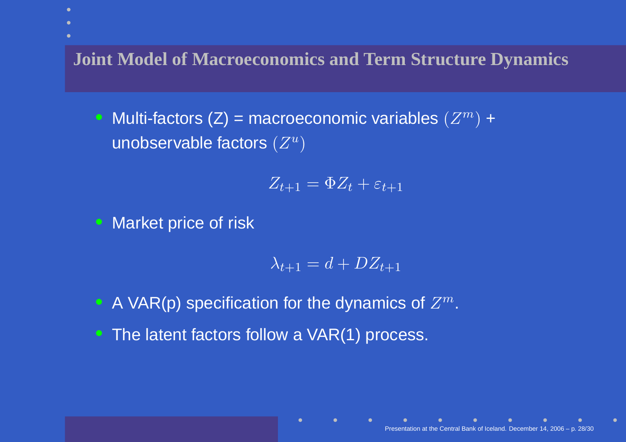**Joint Model of Macroeconomics and Term Structure Dynamics**

• Multi-factors (Z) = macroeconomic variables  $(Z^m)$  + unobservable factors  $(Z^u$  $^u)$ 

$$
Z_{t+1} = \Phi Z_t + \varepsilon_{t+1}
$$

Market price of risk

$$
\lambda_{t+1} = d + DZ_{t+1}
$$

- A VAR(p) specification for the dynamics of  $Z^m$
- The latent factors follow a VAR(1) process.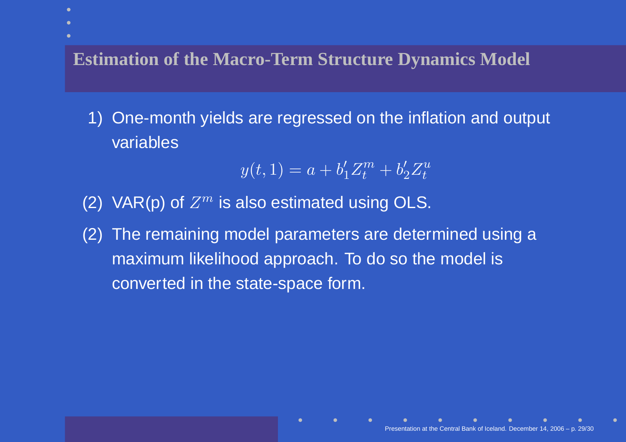**Estimation of the Macro-Term Structure Dynamics Model**

1) One-month yields are regressed on the inflation and output variables

$$
y(t, 1) = a + b'_1 Z_t^m + b'_2 Z_t^u
$$

- (2) VAR(p) of  $Z^m$  is also estimated using OLS.
- (2) The remaining model parameters are determined using <sup>a</sup>maximum likelihood approach. To do so the model isconverted in the state-space form.